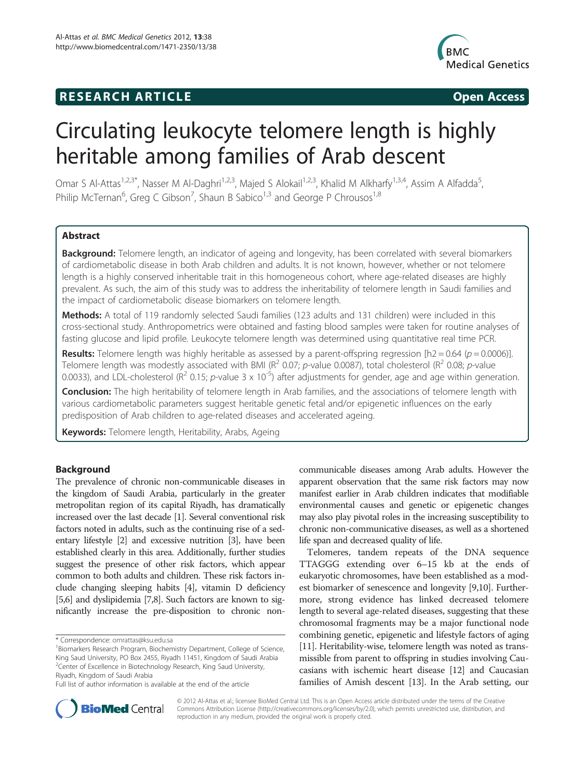# **RESEARCH ARTICLE Example 2014 CONSIDERING CONSIDERING CONSIDERING CONSIDERING CONSIDERING CONSIDERING CONSIDERING CONSIDERING CONSIDERING CONSIDERING CONSIDERING CONSIDERING CONSIDERING CONSIDERING CONSIDERING CONSIDE**



# Circulating leukocyte telomere length is highly heritable among families of Arab descent

Omar S Al-Attas<sup>1,2,3\*</sup>, Nasser M Al-Daghri<sup>1,2,3</sup>, Majed S Alokail<sup>1,2,3</sup>, Khalid M Alkharfy<sup>1,3,4</sup>, Assim A Alfadda<sup>5</sup>, , Philip McTernan<sup>6</sup>, Greg C Gibson<sup>7</sup>, Shaun B Sabico<sup>1,3</sup> and George P Chrousos<sup>1,8</sup>

## **Abstract**

Background: Telomere length, an indicator of ageing and longevity, has been correlated with several biomarkers of cardiometabolic disease in both Arab children and adults. It is not known, however, whether or not telomere length is a highly conserved inheritable trait in this homogeneous cohort, where age-related diseases are highly prevalent. As such, the aim of this study was to address the inheritability of telomere length in Saudi families and the impact of cardiometabolic disease biomarkers on telomere length.

Methods: A total of 119 randomly selected Saudi families (123 adults and 131 children) were included in this cross-sectional study. Anthropometrics were obtained and fasting blood samples were taken for routine analyses of fasting glucose and lipid profile. Leukocyte telomere length was determined using quantitative real time PCR.

**Results:** Telomere length was highly heritable as assessed by a parent-offspring regression [h2 = 0.64 ( $p = 0.0006$ )]. Telomere length was modestly associated with BMI ( $R^2$  0.07; p-value 0.0087), total cholesterol ( $R^2$  0.08; p-value 0.0033), and LDL-cholesterol ( $R^2$  0.15; p-value 3 x 10<sup>-5</sup>) after adjustments for gender, age and age within generation.

Conclusion: The high heritability of telomere length in Arab families, and the associations of telomere length with various cardiometabolic parameters suggest heritable genetic fetal and/or epigenetic influences on the early predisposition of Arab children to age-related diseases and accelerated ageing.

Keywords: Telomere length, Heritability, Arabs, Ageing

## Background

The prevalence of chronic non-communicable diseases in the kingdom of Saudi Arabia, particularly in the greater metropolitan region of its capital Riyadh, has dramatically increased over the last decade [\[1\]](#page-3-0). Several conventional risk factors noted in adults, such as the continuing rise of a sedentary lifestyle [\[2\]](#page-3-0) and excessive nutrition [\[3\]](#page-3-0), have been established clearly in this area. Additionally, further studies suggest the presence of other risk factors, which appear common to both adults and children. These risk factors include changing sleeping habits [[4](#page-3-0)], vitamin D deficiency [[5,6](#page-3-0)] and dyslipidemia [[7](#page-3-0)[,8\]](#page-4-0). Such factors are known to significantly increase the pre-disposition to chronic non-



Telomeres, tandem repeats of the DNA sequence TTAGGG extending over 6–15 kb at the ends of eukaryotic chromosomes, have been established as a modest biomarker of senescence and longevity [[9,10](#page-4-0)]. Furthermore, strong evidence has linked decreased telomere length to several age-related diseases, suggesting that these chromosomal fragments may be a major functional node combining genetic, epigenetic and lifestyle factors of aging [[11](#page-4-0)]. Heritability-wise, telomere length was noted as transmissible from parent to offspring in studies involving Caucasians with ischemic heart disease [[12](#page-4-0)] and Caucasian families of Amish descent [\[13\]](#page-4-0). In the Arab setting, our



© 2012 Al-Attas et al.; licensee BioMed Central Ltd. This is an Open Access article distributed under the terms of the Creative Commons Attribution License [\(http://creativecommons.org/licenses/by/2.0\)](http://creativecommons.org/licenses/by/2.0), which permits unrestricted use, distribution, and reproduction in any medium, provided the original work is properly cited.

<sup>\*</sup> Correspondence: [omrattas@ksu.edu.sa](mailto:omrattas@ksu.edu.sa) <sup>1</sup>

<sup>&</sup>lt;sup>1</sup>Biomarkers Research Program, Biochemistry Department, College of Science, King Saud University, PO Box 2455, Riyadh 11451, Kingdom of Saudi Arabia <sup>2</sup> Center of Excellence in Biotechnology Research, King Saud University, Riyadh, Kingdom of Saudi Arabia

Full list of author information is available at the end of the article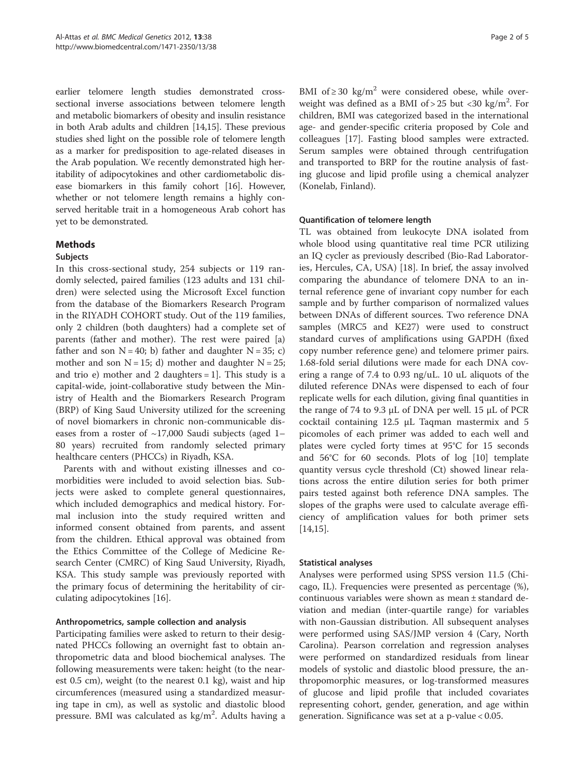earlier telomere length studies demonstrated crosssectional inverse associations between telomere length and metabolic biomarkers of obesity and insulin resistance in both Arab adults and children [\[14,15](#page-4-0)]. These previous studies shed light on the possible role of telomere length as a marker for predisposition to age-related diseases in the Arab population. We recently demonstrated high heritability of adipocytokines and other cardiometabolic disease biomarkers in this family cohort [\[16\]](#page-4-0). However, whether or not telomere length remains a highly conserved heritable trait in a homogeneous Arab cohort has yet to be demonstrated.

# Methods

#### Subjects

In this cross-sectional study, 254 subjects or 119 randomly selected, paired families (123 adults and 131 children) were selected using the Microsoft Excel function from the database of the Biomarkers Research Program in the RIYADH COHORT study. Out of the 119 families, only 2 children (both daughters) had a complete set of parents (father and mother). The rest were paired [a) father and son  $N = 40$ ; b) father and daughter  $N = 35$ ; c) mother and son  $N = 15$ ; d) mother and daughter  $N = 25$ ; and trio e) mother and 2 daughters = 1]. This study is a capital-wide, joint-collaborative study between the Ministry of Health and the Biomarkers Research Program (BRP) of King Saud University utilized for the screening of novel biomarkers in chronic non-communicable diseases from a roster of  $\sim$ 17,000 Saudi subjects (aged 1– 80 years) recruited from randomly selected primary healthcare centers (PHCCs) in Riyadh, KSA.

Parents with and without existing illnesses and comorbidities were included to avoid selection bias. Subjects were asked to complete general questionnaires, which included demographics and medical history. Formal inclusion into the study required written and informed consent obtained from parents, and assent from the children. Ethical approval was obtained from the Ethics Committee of the College of Medicine Research Center (CMRC) of King Saud University, Riyadh, KSA. This study sample was previously reported with the primary focus of determining the heritability of circulating adipocytokines [[16\]](#page-4-0).

#### Anthropometrics, sample collection and analysis

Participating families were asked to return to their designated PHCCs following an overnight fast to obtain anthropometric data and blood biochemical analyses. The following measurements were taken: height (to the nearest 0.5 cm), weight (to the nearest 0.1 kg), waist and hip circumferences (measured using a standardized measuring tape in cm), as well as systolic and diastolic blood pressure. BMI was calculated as kg/m<sup>2</sup>. Adults having a

BMI of  $\geq$  30 kg/m<sup>2</sup> were considered obese, while overweight was defined as a BMI of > 25 but <30 kg/m<sup>2</sup>. For children, BMI was categorized based in the international age- and gender-specific criteria proposed by Cole and colleagues [[17](#page-4-0)]. Fasting blood samples were extracted. Serum samples were obtained through centrifugation and transported to BRP for the routine analysis of fasting glucose and lipid profile using a chemical analyzer (Konelab, Finland).

#### Quantification of telomere length

TL was obtained from leukocyte DNA isolated from whole blood using quantitative real time PCR utilizing an IQ cycler as previously described (Bio-Rad Laboratories, Hercules, CA, USA) [\[18](#page-4-0)]. In brief, the assay involved comparing the abundance of telomere DNA to an internal reference gene of invariant copy number for each sample and by further comparison of normalized values between DNAs of different sources. Two reference DNA samples (MRC5 and KE27) were used to construct standard curves of amplifications using GAPDH (fixed copy number reference gene) and telomere primer pairs. 1.68-fold serial dilutions were made for each DNA covering a range of 7.4 to 0.93 ng/uL. 10 uL aliquots of the diluted reference DNAs were dispensed to each of four replicate wells for each dilution, giving final quantities in the range of 74 to 9.3 μL of DNA per well. 15 μL of PCR cocktail containing 12.5 μL Taqman mastermix and 5 picomoles of each primer was added to each well and plates were cycled forty times at 95°C for 15 seconds and 56°C for 60 seconds. Plots of log [\[10](#page-4-0)] template quantity versus cycle threshold (Ct) showed linear relations across the entire dilution series for both primer pairs tested against both reference DNA samples. The slopes of the graphs were used to calculate average efficiency of amplification values for both primer sets [[14,15\]](#page-4-0).

#### Statistical analyses

Analyses were performed using SPSS version 11.5 (Chicago, IL). Frequencies were presented as percentage (%), continuous variables were shown as mean ± standard deviation and median (inter-quartile range) for variables with non-Gaussian distribution. All subsequent analyses were performed using SAS/JMP version 4 (Cary, North Carolina). Pearson correlation and regression analyses were performed on standardized residuals from linear models of systolic and diastolic blood pressure, the anthropomorphic measures, or log-transformed measures of glucose and lipid profile that included covariates representing cohort, gender, generation, and age within generation. Significance was set at a p-value < 0.05.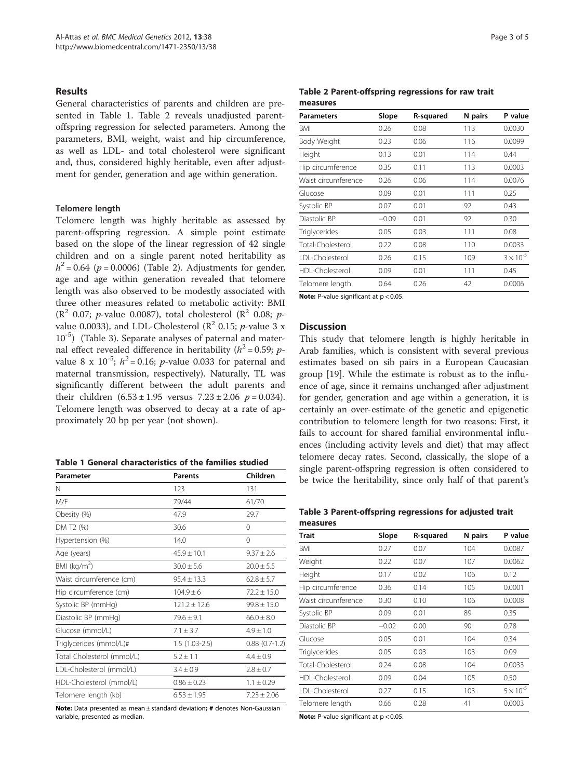#### Results

General characteristics of parents and children are presented in Table 1. Table 2 reveals unadjusted parentoffspring regression for selected parameters. Among the parameters, BMI, weight, waist and hip circumference, as well as LDL- and total cholesterol were significant and, thus, considered highly heritable, even after adjustment for gender, generation and age within generation.

#### Telomere length

Telomere length was highly heritable as assessed by parent-offspring regression. A simple point estimate based on the slope of the linear regression of 42 single children and on a single parent noted heritability as  $h^2$  = 0.64 (p = 0.0006) (Table 2). Adjustments for gender, age and age within generation revealed that telomere length was also observed to be modestly associated with three other measures related to metabolic activity: BMI ( $R^2$  0.07; *p*-value 0.0087), total cholesterol ( $R^2$  0.08; *p*value 0.0033), and LDL-Cholesterol ( $\mathbb{R}^2$  0.15; *p*-value 3 x  $10^{-5}$ ) (Table 3). Separate analyses of paternal and maternal effect revealed difference in heritability ( $h^2 = 0.59$ ; pvalue 8 x  $10^{-5}$ ;  $h^2 = 0.16$ ; *p*-value 0.033 for paternal and maternal transmission, respectively). Naturally, TL was significantly different between the adult parents and their children  $(6.53 \pm 1.95$  versus  $7.23 \pm 2.06$   $p = 0.034$ ). Telomere length was observed to decay at a rate of approximately 20 bp per year (not shown).

Table 1 General characteristics of the families studied

| Parameter                  | <b>Parents</b>   | Children           |
|----------------------------|------------------|--------------------|
| N                          | 123              | 131                |
| M/F                        | 79/44            | 61/70              |
| Obesity (%)                | 47.9             | 29.7               |
| DM T <sub>2</sub> (%)      | 30.6             | $\Omega$           |
| Hypertension (%)           | 14.0             | $\Omega$           |
| Age (years)                | $45.9 \pm 10.1$  | $9.37 \pm 2.6$     |
| BMI ( $kg/m2$ )            | $30.0 \pm 5.6$   | $20.0 \pm 5.5$     |
| Waist circumference (cm)   | $95.4 \pm 13.3$  | $62.8 \pm 5.7$     |
| Hip circumference (cm)     | $104.9 \pm 6$    | $72.2 \pm 15.0$    |
| Systolic BP (mmHg)         | $121.2 \pm 12.6$ | $99.8 \pm 15.0$    |
| Diastolic BP (mmHg)        | $79.6 + 9.1$     | $66.0 \pm 8.0$     |
| Glucose (mmol/L)           | $7.1 \pm 3.7$    | $4.9 \pm 1.0$      |
| Triglycerides (mmol/L)#    | $1.5(1.03-2.5)$  | $0.88$ $(0.7-1.2)$ |
| Total Cholesterol (mmol/L) | $5.2 \pm 1.1$    | $4.4 + 0.9$        |
| LDL-Cholesterol (mmol/L)   | $3.4 + 0.9$      | $2.8 \pm 0.7$      |
| HDL-Cholesterol (mmol/L)   | $0.86 + 0.23$    | $1.1 \pm 0.29$     |
| Telomere length (kb)       | $6.53 \pm 1.95$  | $7.23 \pm 2.06$    |

Note: Data presented as mean ± standard deviation; # denotes Non-Gaussian variable, presented as median.

#### Table 2 Parent-offspring regressions for raw trait measures

| Parameters          | Slope   | R-squared | N pairs | P value          |
|---------------------|---------|-----------|---------|------------------|
| BMI                 | 0.26    | 0.08      | 113     | 0.0030           |
| Body Weight         | 0.23    | 0.06      | 116     | 0.0099           |
| Height              | 0.13    | 0.01      | 114     | 0.44             |
| Hip circumference   | 0.35    | 0.11      | 113     | 0.0003           |
| Waist circumference | 0.26    | 0.06      | 114     | 0.0076           |
| Glucose             | 0.09    | 0.01      | 111     | 0.25             |
| Systolic BP         | 0.07    | 0.01      | 92      | 0.43             |
| Diastolic BP        | $-0.09$ | 0.01      | 92      | 0.30             |
| Triglycerides       | 0.05    | 0.03      | 111     | 0.08             |
| Total-Cholesterol   | 0.22    | 0.08      | 110     | 0.0033           |
| LDL-Cholesterol     | 0.26    | 0.15      | 109     | $3\times10^{-5}$ |
| HDL-Cholesterol     | 0.09    | 0.01      | 111     | 0.45             |
| Telomere length     | 0.64    | 0.26      | 42      | 0.0006           |
|                     |         |           |         |                  |

Note: P-value significant at  $p < 0.05$ .

#### **Discussion**

This study that telomere length is highly heritable in Arab families, which is consistent with several previous estimates based on sib pairs in a European Caucasian group [[19](#page-4-0)]. While the estimate is robust as to the influence of age, since it remains unchanged after adjustment for gender, generation and age within a generation, it is certainly an over-estimate of the genetic and epigenetic contribution to telomere length for two reasons: First, it fails to account for shared familial environmental influences (including activity levels and diet) that may affect telomere decay rates. Second, classically, the slope of a single parent-offspring regression is often considered to be twice the heritability, since only half of that parent's

Table 3 Parent-offspring regressions for adjusted trait measures

| <b>Trait</b>           | Slope   | R-squared | N pairs | P value            |
|------------------------|---------|-----------|---------|--------------------|
| <b>BMI</b>             | 0.27    | 0.07      | 104     | 0.0087             |
| Weight                 | 0.22    | 0.07      | 107     | 0.0062             |
| Height                 | 0.17    | 0.02      | 106     | 0.12               |
| Hip circumference      | 0.36    | 0.14      | 105     | 0.0001             |
| Waist circumference    | 0.30    | 0.10      | 106     | 0.0008             |
| Systolic BP            | 0.09    | 0.01      | 89      | 0.35               |
| Diastolic BP           | $-0.02$ | 0.00      | 90      | 0.78               |
| Glucose                | 0.05    | 0.01      | 104     | 0.34               |
| Triglycerides          | 0.05    | 0.03      | 103     | 0.09               |
| Total-Cholesterol      | 0.24    | 0.08      | 104     | 0.0033             |
| HDL-Cholesterol        | 0.09    | 0.04      | 105     | 0.50               |
| <b>IDI-Cholesterol</b> | 0.27    | 0.15      | 103     | $5 \times 10^{-5}$ |
| Telomere length        | 0.66    | 0.28      | 41      | 0.0003             |

Note: P-value significant at  $p < 0.05$ .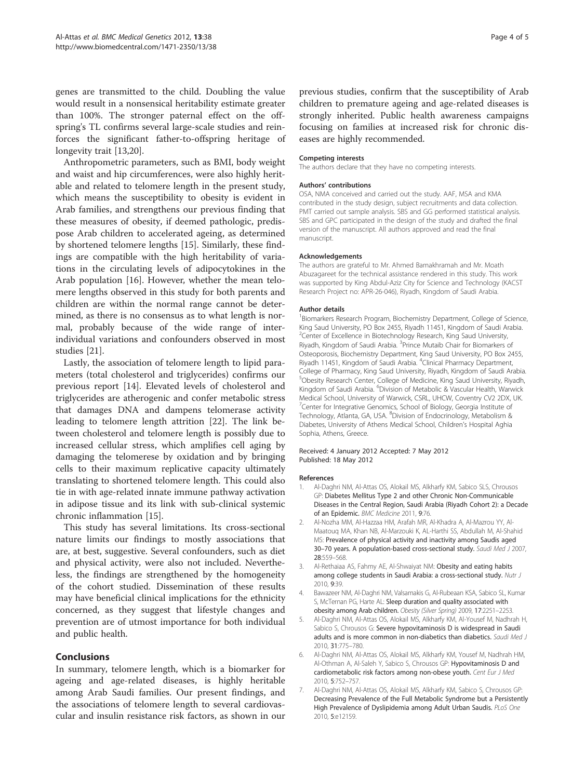<span id="page-3-0"></span>genes are transmitted to the child. Doubling the value would result in a nonsensical heritability estimate greater than 100%. The stronger paternal effect on the offspring's TL confirms several large-scale studies and reinforces the significant father-to-offspring heritage of longevity trait [[13](#page-4-0),[20](#page-4-0)].

Anthropometric parameters, such as BMI, body weight and waist and hip circumferences, were also highly heritable and related to telomere length in the present study, which means the susceptibility to obesity is evident in Arab families, and strengthens our previous finding that these measures of obesity, if deemed pathologic, predispose Arab children to accelerated ageing, as determined by shortened telomere lengths [\[15](#page-4-0)]. Similarly, these findings are compatible with the high heritability of variations in the circulating levels of adipocytokines in the Arab population [[16](#page-4-0)]. However, whether the mean telomere lengths observed in this study for both parents and children are within the normal range cannot be determined, as there is no consensus as to what length is normal, probably because of the wide range of interindividual variations and confounders observed in most studies [\[21\]](#page-4-0).

Lastly, the association of telomere length to lipid parameters (total cholesterol and triglycerides) confirms our previous report [[14\]](#page-4-0). Elevated levels of cholesterol and triglycerides are atherogenic and confer metabolic stress that damages DNA and dampens telomerase activity leading to telomere length attrition [\[22](#page-4-0)]. The link between cholesterol and telomere length is possibly due to increased cellular stress, which amplifies cell aging by damaging the telomerese by oxidation and by bringing cells to their maximum replicative capacity ultimately translating to shortened telomere length. This could also tie in with age-related innate immune pathway activation in adipose tissue and its link with sub-clinical systemic chronic inflammation [\[15](#page-4-0)].

This study has several limitations. Its cross-sectional nature limits our findings to mostly associations that are, at best, suggestive. Several confounders, such as diet and physical activity, were also not included. Nevertheless, the findings are strengthened by the homogeneity of the cohort studied. Dissemination of these results may have beneficial clinical implications for the ethnicity concerned, as they suggest that lifestyle changes and prevention are of utmost importance for both individual and public health.

#### **Conclusions**

In summary, telomere length, which is a biomarker for ageing and age-related diseases, is highly heritable among Arab Saudi families. Our present findings, and the associations of telomere length to several cardiovascular and insulin resistance risk factors, as shown in our previous studies, confirm that the susceptibility of Arab children to premature ageing and age-related diseases is strongly inherited. Public health awareness campaigns focusing on families at increased risk for chronic diseases are highly recommended.

#### Competing interests

The authors declare that they have no competing interests.

#### Authors' contributions

OSA, NMA conceived and carried out the study. AAF, MSA and KMA contributed in the study design, subject recruitments and data collection. PMT carried out sample analysis. SBS and GG performed statistical analysis. SBS and GPC participated in the design of the study and drafted the final version of the manuscript. All authors approved and read the final manuscript.

#### Acknowledgements

The authors are grateful to Mr. Ahmed Bamakhramah and Mr. Moath Abuzagareet for the technical assistance rendered in this study. This work was supported by King Abdul-Aziz City for Science and Technology (KACST Research Project no: APR-26-046), Riyadh, Kingdom of Saudi Arabia.

#### Author details

<sup>1</sup> Biomarkers Research Program, Biochemistry Department, College of Science, King Saud University, PO Box 2455, Riyadh 11451, Kingdom of Saudi Arabia. <sup>2</sup> Center of Excellence in Biotechnology Research, King Saud University Riyadh, Kingdom of Saudi Arabia. <sup>3</sup>Prince Mutaib Chair for Biomarkers of Osteoporosis, Biochemistry Department, King Saud University, PO Box 2455, Riyadh 11451, Kingdom of Saudi Arabia. <sup>4</sup>Clinical Pharmacy Department, College of Pharmacy, King Saud University, Riyadh, Kingdom of Saudi Arabia. 5 Obesity Research Center, College of Medicine, King Saud University, Riyadh, Kingdom of Saudi Arabia. <sup>6</sup>Division of Metabolic & Vascular Health, Warwick Medical School, University of Warwick, CSRL, UHCW, Coventry CV2 2DX, UK. <sup>7</sup> Center for Integrative Genomics, School of Biology, Georgia Institute of Technology, Atlanta, GA, USA. <sup>8</sup>Division of Endocrinology, Metabolism & Diabetes, University of Athens Medical School, Children's Hospital Aghia Sophia, Athens, Greece.

#### Received: 4 January 2012 Accepted: 7 May 2012 Published: 18 May 2012

#### References

- 1. Al-Daghri NM, Al-Attas OS, Alokail MS, Alkharfy KM, Sabico SLS, Chrousos GP: Diabetes Mellitus Type 2 and other Chronic Non-Communicable Diseases in the Central Region, Saudi Arabia (Riyadh Cohort 2): a Decade of an Epidemic. BMC Medicine 2011, 9:76.
- 2. Al-Nozha MM, Al-Hazzaa HM, Arafah MR, Al-Khadra A, Al-Mazrou YY, Al-Maatouq MA, Khan NB, Al-Marzouki K, AL-Harthi SS, Abdullah M, Al-Shahid MS: Prevalence of physical activity and inactivity among Saudis aged 30–70 years. A population-based cross-sectional study. Saudi Med J 2007, 28:559–568.
- 3. Al-Rethaiaa AS, Fahmy AE, Al-Shwaiyat NM: Obesity and eating habits among college students in Saudi Arabia: a cross-sectional study. Nutr J 2010, 9:39.
- 4. Bawazeer NM, Al-Daghri NM, Valsamakis G, Al-Rubeaan KSA, Sabico SL, Kumar S, McTernan PG, Harte AL: Sleep duration and quality associated with obesity among Arab children. Obesity (Silver Spring) 2009, 17:2251–2253.
- 5. Al-Daghri NM, Al-Attas OS, Alokail MS, Alkharfy KM, Al-Yousef M, Nadhrah H, Sabico S, Chrousos G: Severe hypovitaminosis D is widespread in Saudi adults and is more common in non-diabetics than diabetics. Saudi Med J 2010, 31:775–780.
- 6. Al-Daghri NM, Al-Attas OS, Alokail MS, Alkharfy KM, Yousef M, Nadhrah HM, Al-Othman A, Al-Saleh Y, Sabico S, Chrousos GP: Hypovitaminosis D and cardiometabolic risk factors among non-obese youth. Cent Eur J Med 2010, 5:752–757.
- 7. Al-Daghri NM, Al-Attas OS, Alokail MS, Alkharfy KM, Sabico S, Chrousos GP: Decreasing Prevalence of the Full Metabolic Syndrome but a Persistently High Prevalence of Dyslipidemia among Adult Urban Saudis. PLoS One 2010, 5:e12159.